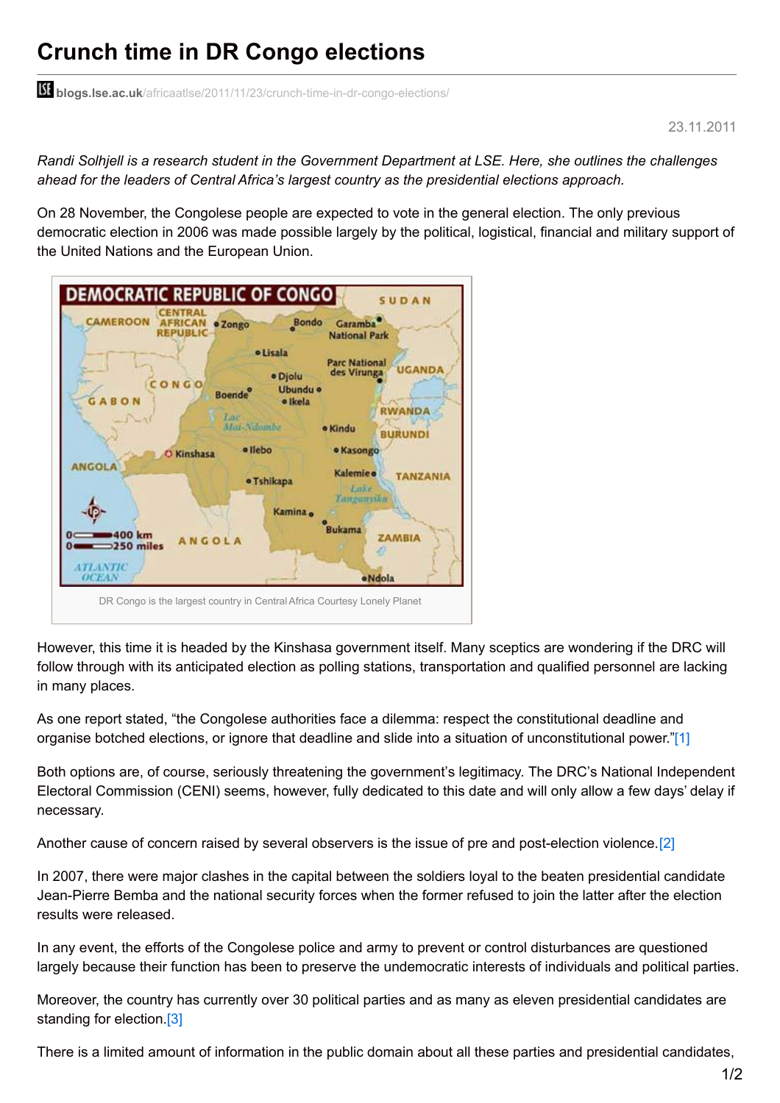## **Crunch time in DR Congo elections**

**blogs.lse.ac.uk**[/africaatlse/2011/11/23/crunch-time-in-dr-congo-elections/](http://blogs.lse.ac.uk/africaatlse/2011/11/23/crunch-time-in-dr-congo-elections/)

## 23.11.2011

Randi Solhjell is a research student in the Government Department at LSE. Here, she outlines the challenges *ahead for the leaders of Central Africa's largest country as the presidential elections approach.*

On 28 November, the Congolese people are expected to vote in the general election. The only previous democratic election in 2006 was made possible largely by the political, logistical, financial and military support of the United Nations and the European Union.



However, this time it is headed by the Kinshasa government itself. Many sceptics are wondering if the DRC will follow through with its anticipated election as polling stations, transportation and qualified personnel are lacking in many places.

As one report stated, "the Congolese authorities face a dilemma: respect the constitutional deadline and organise botched elections, or ignore that deadline and slide into a situation of unconstitutional power.["\[1\]](http://blogs.lse.ac.uk/africaatlse/wp-admin/post-new.php#_ftn1)

Both options are, of course, seriously threatening the government's legitimacy. The DRC's National Independent Electoral Commission (CENI) seems, however, fully dedicated to this date and will only allow a few days' delay if necessary.

Another cause of concern raised by several observers is the issue of pre and post-election violence.[\[2\]](http://blogs.lse.ac.uk/africaatlse/wp-admin/post-new.php#_ftn2)

In 2007, there were major clashes in the capital between the soldiers loyal to the beaten presidential candidate Jean-Pierre Bemba and the national security forces when the former refused to join the latter after the election results were released.

In any event, the efforts of the Congolese police and army to prevent or control disturbances are questioned largely because their function has been to preserve the undemocratic interests of individuals and political parties.

Moreover, the country has currently over 30 political parties and as many as eleven presidential candidates are standing for election[.\[3\]](http://blogs.lse.ac.uk/africaatlse/wp-admin/post-new.php#_ftn3)

There is a limited amount of information in the public domain about all these parties and presidential candidates,